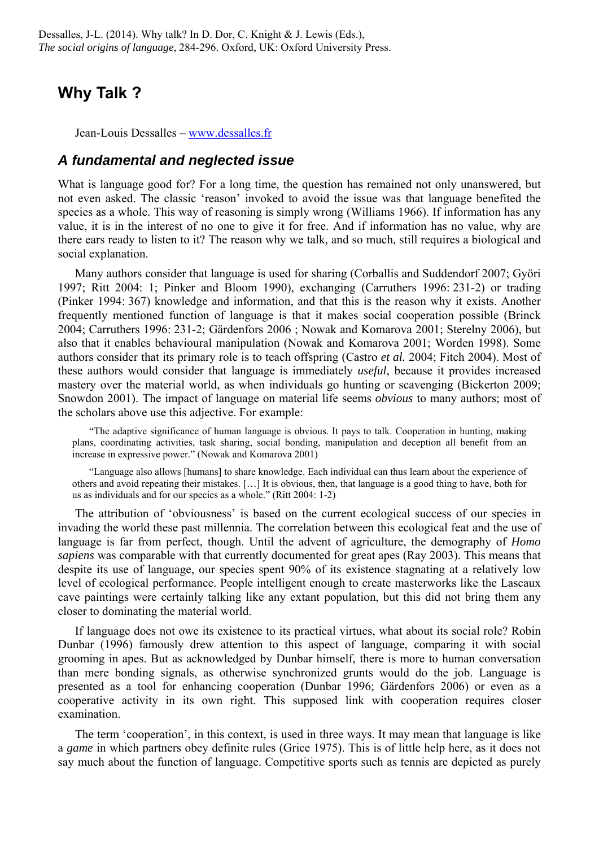# **Why Talk ?**

Jean-Louis Dessalles – www.dessalles.fr

# *A fundamental and neglected issue*

What is language good for? For a long time, the question has remained not only unanswered, but not even asked. The classic 'reason' invoked to avoid the issue was that language benefited the species as a whole. This way of reasoning is simply wrong (Williams 1966). If information has any value, it is in the interest of no one to give it for free. And if information has no value, why are there ears ready to listen to it? The reason why we talk, and so much, still requires a biological and social explanation.

Many authors consider that language is used for sharing (Corballis and Suddendorf 2007; Györi 1997; Ritt 2004: 1; Pinker and Bloom 1990), exchanging (Carruthers 1996: 231-2) or trading (Pinker 1994: 367) knowledge and information, and that this is the reason why it exists. Another frequently mentioned function of language is that it makes social cooperation possible (Brinck 2004; Carruthers 1996: 231-2; Gärdenfors 2006 ; Nowak and Komarova 2001; Sterelny 2006), but also that it enables behavioural manipulation (Nowak and Komarova 2001; Worden 1998). Some authors consider that its primary role is to teach offspring (Castro *et al.* 2004; Fitch 2004). Most of these authors would consider that language is immediately *useful*, because it provides increased mastery over the material world, as when individuals go hunting or scavenging (Bickerton 2009; Snowdon 2001). The impact of language on material life seems *obvious* to many authors; most of the scholars above use this adjective. For example:

"The adaptive significance of human language is obvious. It pays to talk. Cooperation in hunting, making plans, coordinating activities, task sharing, social bonding, manipulation and deception all benefit from an increase in expressive power." (Nowak and Komarova 2001)

"Language also allows [humans] to share knowledge. Each individual can thus learn about the experience of others and avoid repeating their mistakes. […] It is obvious, then, that language is a good thing to have, both for us as individuals and for our species as a whole." (Ritt 2004: 1-2)

The attribution of 'obviousness' is based on the current ecological success of our species in invading the world these past millennia. The correlation between this ecological feat and the use of language is far from perfect, though. Until the advent of agriculture, the demography of *Homo sapiens* was comparable with that currently documented for great apes (Ray 2003). This means that despite its use of language, our species spent 90% of its existence stagnating at a relatively low level of ecological performance. People intelligent enough to create masterworks like the Lascaux cave paintings were certainly talking like any extant population, but this did not bring them any closer to dominating the material world.

If language does not owe its existence to its practical virtues, what about its social role? Robin Dunbar (1996) famously drew attention to this aspect of language, comparing it with social grooming in apes. But as acknowledged by Dunbar himself, there is more to human conversation than mere bonding signals, as otherwise synchronized grunts would do the job. Language is presented as a tool for enhancing cooperation (Dunbar 1996; Gärdenfors 2006) or even as a cooperative activity in its own right. This supposed link with cooperation requires closer examination.

The term 'cooperation', in this context, is used in three ways. It may mean that language is like a *game* in which partners obey definite rules (Grice 1975). This is of little help here, as it does not say much about the function of language. Competitive sports such as tennis are depicted as purely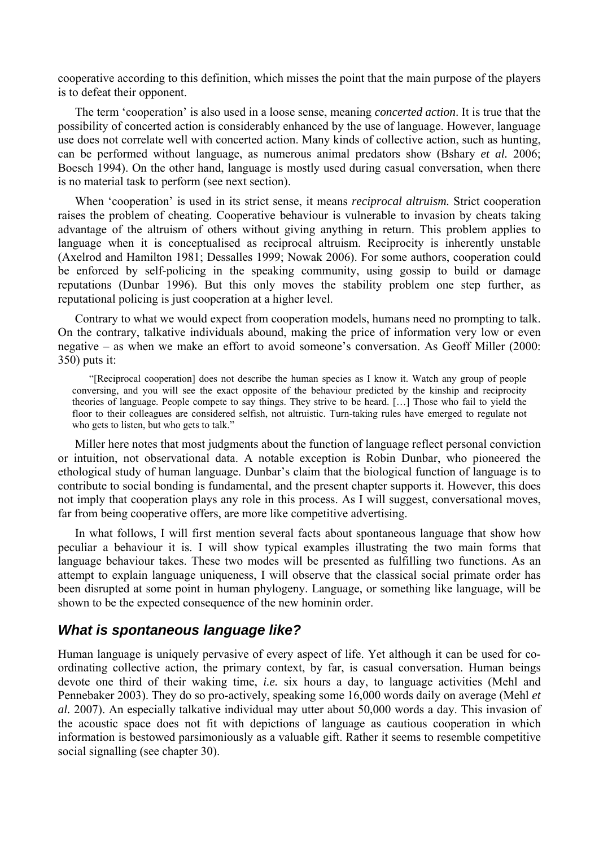cooperative according to this definition, which misses the point that the main purpose of the players is to defeat their opponent.

The term 'cooperation' is also used in a loose sense, meaning *concerted action*. It is true that the possibility of concerted action is considerably enhanced by the use of language. However, language use does not correlate well with concerted action. Many kinds of collective action, such as hunting, can be performed without language, as numerous animal predators show (Bshary *et al.* 2006; Boesch 1994). On the other hand, language is mostly used during casual conversation, when there is no material task to perform (see next section).

When 'cooperation' is used in its strict sense, it means *reciprocal altruism.* Strict cooperation raises the problem of cheating. Cooperative behaviour is vulnerable to invasion by cheats taking advantage of the altruism of others without giving anything in return. This problem applies to language when it is conceptualised as reciprocal altruism. Reciprocity is inherently unstable (Axelrod and Hamilton 1981; Dessalles 1999; Nowak 2006). For some authors, cooperation could be enforced by self-policing in the speaking community, using gossip to build or damage reputations (Dunbar 1996). But this only moves the stability problem one step further, as reputational policing is just cooperation at a higher level.

Contrary to what we would expect from cooperation models, humans need no prompting to talk. On the contrary, talkative individuals abound, making the price of information very low or even negative – as when we make an effort to avoid someone's conversation. As Geoff Miller (2000: 350) puts it:

"[Reciprocal cooperation] does not describe the human species as I know it. Watch any group of people conversing, and you will see the exact opposite of the behaviour predicted by the kinship and reciprocity theories of language. People compete to say things. They strive to be heard. […] Those who fail to yield the floor to their colleagues are considered selfish, not altruistic. Turn-taking rules have emerged to regulate not who gets to listen, but who gets to talk."

Miller here notes that most judgments about the function of language reflect personal conviction or intuition, not observational data. A notable exception is Robin Dunbar, who pioneered the ethological study of human language. Dunbar's claim that the biological function of language is to contribute to social bonding is fundamental, and the present chapter supports it. However, this does not imply that cooperation plays any role in this process. As I will suggest, conversational moves, far from being cooperative offers, are more like competitive advertising.

In what follows, I will first mention several facts about spontaneous language that show how peculiar a behaviour it is. I will show typical examples illustrating the two main forms that language behaviour takes. These two modes will be presented as fulfilling two functions. As an attempt to explain language uniqueness, I will observe that the classical social primate order has been disrupted at some point in human phylogeny. Language, or something like language, will be shown to be the expected consequence of the new hominin order.

## *What is spontaneous language like?*

Human language is uniquely pervasive of every aspect of life. Yet although it can be used for coordinating collective action, the primary context, by far, is casual conversation. Human beings devote one third of their waking time, *i.e.* six hours a day, to language activities (Mehl and Pennebaker 2003). They do so pro-actively, speaking some 16,000 words daily on average (Mehl *et al.* 2007). An especially talkative individual may utter about 50,000 words a day. This invasion of the acoustic space does not fit with depictions of language as cautious cooperation in which information is bestowed parsimoniously as a valuable gift. Rather it seems to resemble competitive social signalling (see chapter 30).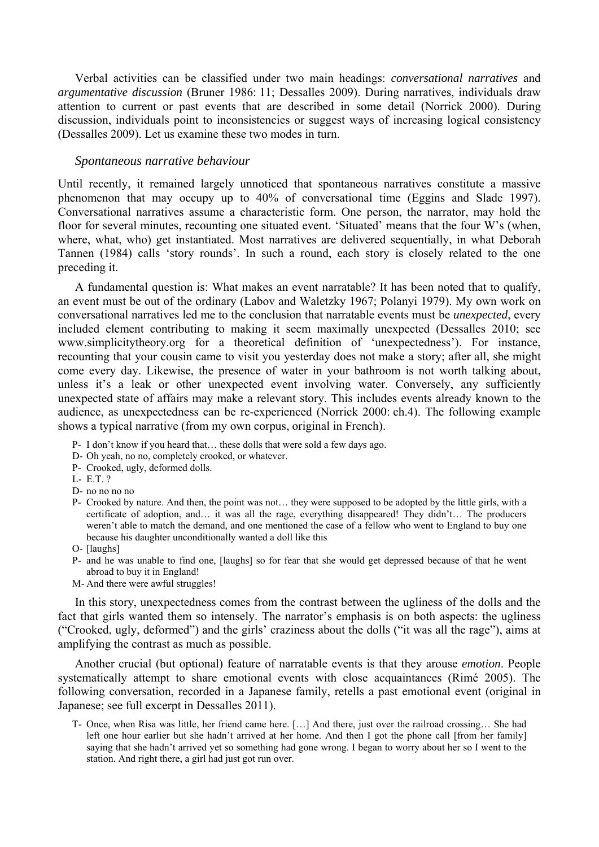Verbal activities can be classified under two main headings: *conversational narratives* and *argumentative discussion* (Bruner 1986: 11; Dessalles 2009). During narratives, individuals draw attention to current or past events that are described in some detail (Norrick 2000). During discussion, individuals point to inconsistencies or suggest ways of increasing logical consistency (Dessalles 2009). Let us examine these two modes in turn.

#### *Spontaneous narrative behaviour*

Until recently, it remained largely unnoticed that spontaneous narratives constitute a massive phenomenon that may occupy up to 40% of conversational time (Eggins and Slade 1997). Conversational narratives assume a characteristic form. One person, the narrator, may hold the floor for several minutes, recounting one situated event. 'Situated' means that the four W's (when, where, what, who) get instantiated. Most narratives are delivered sequentially, in what Deborah Tannen (1984) calls 'story rounds'. In such a round, each story is closely related to the one preceding it.

A fundamental question is: What makes an event narratable? It has been noted that to qualify, an event must be out of the ordinary (Labov and Waletzky 1967; Polanyi 1979). My own work on conversational narratives led me to the conclusion that narratable events must be *unexpected*, every included element contributing to making it seem maximally unexpected (Dessalles 2010; see www.simplicitytheory.org for a theoretical definition of 'unexpectedness'). For instance, recounting that your cousin came to visit you yesterday does not make a story; after all, she might come every day. Likewise, the presence of water in your bathroom is not worth talking about, unless it's a leak or other unexpected event involving water. Conversely, any sufficiently unexpected state of affairs may make a relevant story. This includes events already known to the audience, as unexpectedness can be re-experienced (Norrick 2000: ch.4). The following example shows a typical narrative (from my own corpus, original in French).

- P- I don't know if you heard that… these dolls that were sold a few days ago.
- D- Oh yeah, no no, completely crooked, or whatever.
- P- Crooked, ugly, deformed dolls.
- L- E.T. ?
- D- no no no no
- P- Crooked by nature. And then, the point was not… they were supposed to be adopted by the little girls, with a certificate of adoption, and… it was all the rage, everything disappeared! They didn't… The producers weren't able to match the demand, and one mentioned the case of a fellow who went to England to buy one because his daughter unconditionally wanted a doll like this
- O- [laughs]
- P- and he was unable to find one, [laughs] so for fear that she would get depressed because of that he went abroad to buy it in England!
- M- And there were awful struggles!

In this story, unexpectedness comes from the contrast between the ugliness of the dolls and the fact that girls wanted them so intensely. The narrator's emphasis is on both aspects: the ugliness ("Crooked, ugly, deformed") and the girls' craziness about the dolls ("it was all the rage"), aims at amplifying the contrast as much as possible.

Another crucial (but optional) feature of narratable events is that they arouse *emotion*. People systematically attempt to share emotional events with close acquaintances (Rimé 2005). The following conversation, recorded in a Japanese family, retells a past emotional event (original in Japanese; see full excerpt in Dessalles 2011).

T- Once, when Risa was little, her friend came here. […] And there, just over the railroad crossing… She had left one hour earlier but she hadn't arrived at her home. And then I got the phone call [from her family] saying that she hadn't arrived yet so something had gone wrong. I began to worry about her so I went to the station. And right there, a girl had just got run over.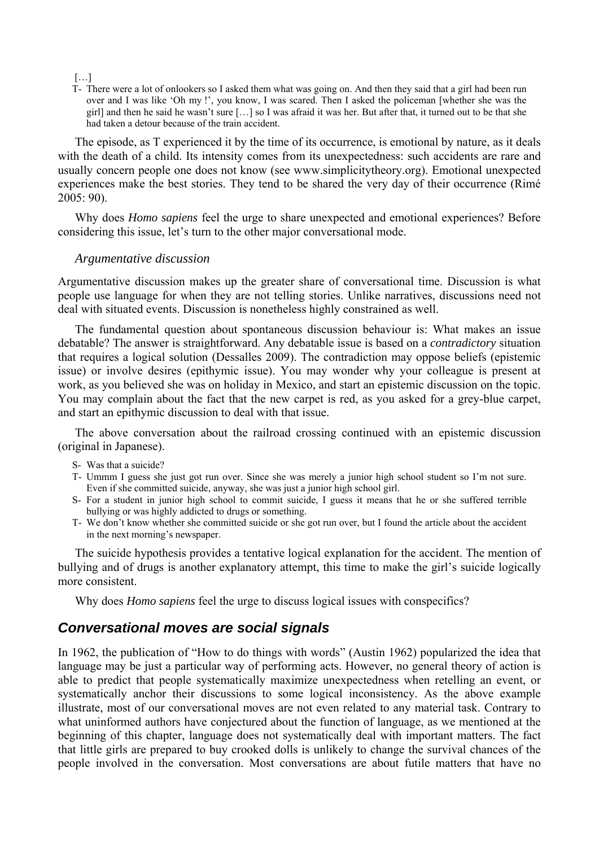$[\ldots]$ 

T- There were a lot of onlookers so I asked them what was going on. And then they said that a girl had been run over and I was like 'Oh my !', you know, I was scared. Then I asked the policeman [whether she was the girl] and then he said he wasn't sure […] so I was afraid it was her. But after that, it turned out to be that she had taken a detour because of the train accident.

The episode, as T experienced it by the time of its occurrence, is emotional by nature, as it deals with the death of a child. Its intensity comes from its unexpectedness: such accidents are rare and usually concern people one does not know (see www.simplicitytheory.org). Emotional unexpected experiences make the best stories. They tend to be shared the very day of their occurrence (Rimé 2005: 90).

Why does *Homo sapiens* feel the urge to share unexpected and emotional experiences? Before considering this issue, let's turn to the other major conversational mode.

#### *Argumentative discussion*

Argumentative discussion makes up the greater share of conversational time. Discussion is what people use language for when they are not telling stories. Unlike narratives, discussions need not deal with situated events. Discussion is nonetheless highly constrained as well.

The fundamental question about spontaneous discussion behaviour is: What makes an issue debatable? The answer is straightforward. Any debatable issue is based on a *contradictory* situation that requires a logical solution (Dessalles 2009). The contradiction may oppose beliefs (epistemic issue) or involve desires (epithymic issue). You may wonder why your colleague is present at work, as you believed she was on holiday in Mexico, and start an epistemic discussion on the topic. You may complain about the fact that the new carpet is red, as you asked for a grey-blue carpet, and start an epithymic discussion to deal with that issue.

The above conversation about the railroad crossing continued with an epistemic discussion (original in Japanese).

- S- Was that a suicide?
- T- Ummm I guess she just got run over. Since she was merely a junior high school student so I'm not sure. Even if she committed suicide, anyway, she was just a junior high school girl.
- S- For a student in junior high school to commit suicide, I guess it means that he or she suffered terrible bullying or was highly addicted to drugs or something.
- T- We don't know whether she committed suicide or she got run over, but I found the article about the accident in the next morning's newspaper.

The suicide hypothesis provides a tentative logical explanation for the accident. The mention of bullying and of drugs is another explanatory attempt, this time to make the girl's suicide logically more consistent.

Why does *Homo sapiens* feel the urge to discuss logical issues with conspecifics?

## *Conversational moves are social signals*

In 1962, the publication of "How to do things with words" (Austin 1962) popularized the idea that language may be just a particular way of performing acts. However, no general theory of action is able to predict that people systematically maximize unexpectedness when retelling an event, or systematically anchor their discussions to some logical inconsistency. As the above example illustrate, most of our conversational moves are not even related to any material task. Contrary to what uninformed authors have conjectured about the function of language, as we mentioned at the beginning of this chapter, language does not systematically deal with important matters. The fact that little girls are prepared to buy crooked dolls is unlikely to change the survival chances of the people involved in the conversation. Most conversations are about futile matters that have no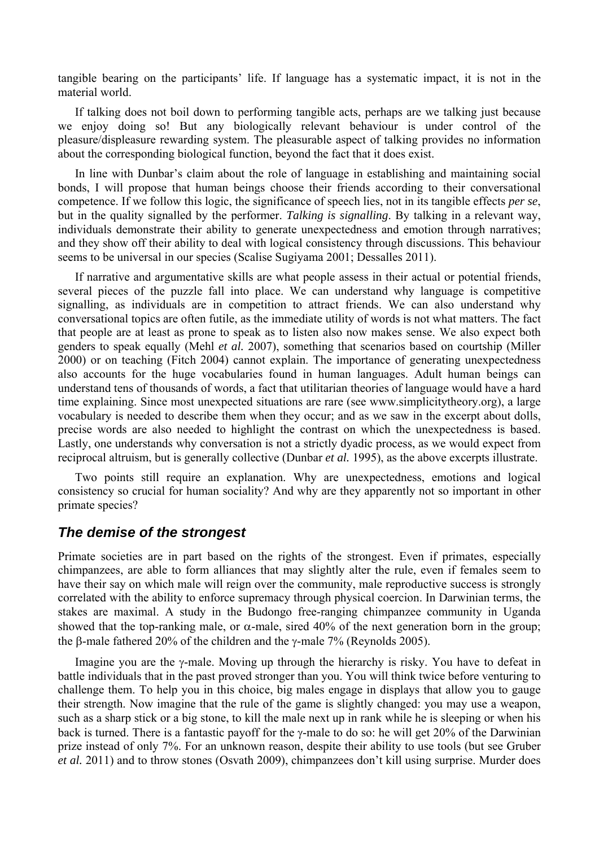tangible bearing on the participants' life. If language has a systematic impact, it is not in the material world.

If talking does not boil down to performing tangible acts, perhaps are we talking just because we enjoy doing so! But any biologically relevant behaviour is under control of the pleasure/displeasure rewarding system. The pleasurable aspect of talking provides no information about the corresponding biological function, beyond the fact that it does exist.

In line with Dunbar's claim about the role of language in establishing and maintaining social bonds, I will propose that human beings choose their friends according to their conversational competence. If we follow this logic, the significance of speech lies, not in its tangible effects *per se*, but in the quality signalled by the performer. *Talking is signalling*. By talking in a relevant way, individuals demonstrate their ability to generate unexpectedness and emotion through narratives; and they show off their ability to deal with logical consistency through discussions. This behaviour seems to be universal in our species (Scalise Sugiyama 2001; Dessalles 2011).

If narrative and argumentative skills are what people assess in their actual or potential friends, several pieces of the puzzle fall into place. We can understand why language is competitive signalling, as individuals are in competition to attract friends. We can also understand why conversational topics are often futile, as the immediate utility of words is not what matters. The fact that people are at least as prone to speak as to listen also now makes sense. We also expect both genders to speak equally (Mehl *et al.* 2007), something that scenarios based on courtship (Miller 2000) or on teaching (Fitch 2004) cannot explain. The importance of generating unexpectedness also accounts for the huge vocabularies found in human languages. Adult human beings can understand tens of thousands of words, a fact that utilitarian theories of language would have a hard time explaining. Since most unexpected situations are rare (see www.simplicitytheory.org), a large vocabulary is needed to describe them when they occur; and as we saw in the excerpt about dolls, precise words are also needed to highlight the contrast on which the unexpectedness is based. Lastly, one understands why conversation is not a strictly dyadic process, as we would expect from reciprocal altruism, but is generally collective (Dunbar *et al.* 1995), as the above excerpts illustrate.

Two points still require an explanation. Why are unexpectedness, emotions and logical consistency so crucial for human sociality? And why are they apparently not so important in other primate species?

## *The demise of the strongest*

Primate societies are in part based on the rights of the strongest. Even if primates, especially chimpanzees, are able to form alliances that may slightly alter the rule, even if females seem to have their say on which male will reign over the community, male reproductive success is strongly correlated with the ability to enforce supremacy through physical coercion. In Darwinian terms, the stakes are maximal. A study in the Budongo free-ranging chimpanzee community in Uganda showed that the top-ranking male, or  $\alpha$ -male, sired 40% of the next generation born in the group; the  $\beta$ -male fathered 20% of the children and the  $\gamma$ -male 7% (Reynolds 2005).

Imagine you are the  $\gamma$ -male. Moving up through the hierarchy is risky. You have to defeat in battle individuals that in the past proved stronger than you. You will think twice before venturing to challenge them. To help you in this choice, big males engage in displays that allow you to gauge their strength. Now imagine that the rule of the game is slightly changed: you may use a weapon, such as a sharp stick or a big stone, to kill the male next up in rank while he is sleeping or when his back is turned. There is a fantastic payoff for the  $\gamma$ -male to do so: he will get 20% of the Darwinian prize instead of only 7%. For an unknown reason, despite their ability to use tools (but see Gruber *et al.* 2011) and to throw stones (Osvath 2009), chimpanzees don't kill using surprise. Murder does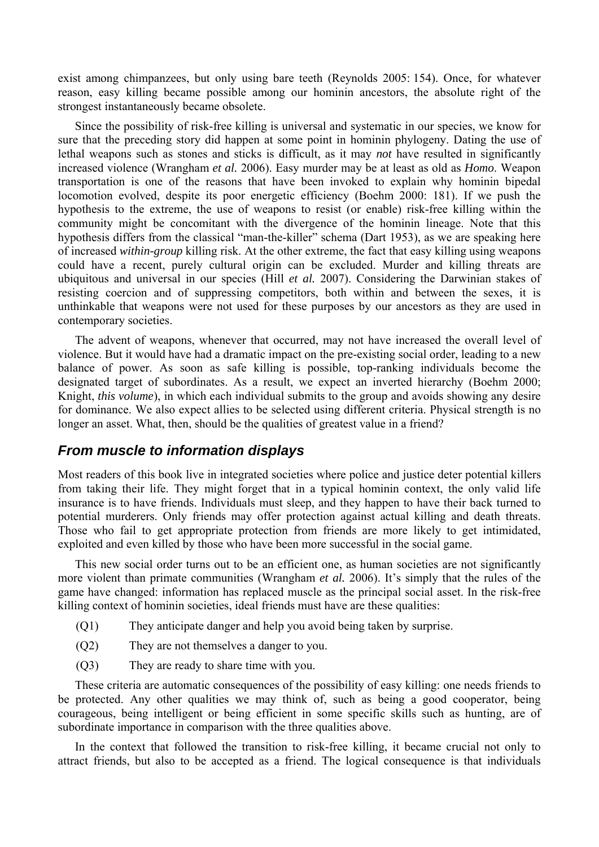exist among chimpanzees, but only using bare teeth (Reynolds 2005: 154). Once, for whatever reason, easy killing became possible among our hominin ancestors, the absolute right of the strongest instantaneously became obsolete.

Since the possibility of risk-free killing is universal and systematic in our species, we know for sure that the preceding story did happen at some point in hominin phylogeny. Dating the use of lethal weapons such as stones and sticks is difficult, as it may *not* have resulted in significantly increased violence (Wrangham *et al.* 2006). Easy murder may be at least as old as *Homo*. Weapon transportation is one of the reasons that have been invoked to explain why hominin bipedal locomotion evolved, despite its poor energetic efficiency (Boehm 2000: 181). If we push the hypothesis to the extreme, the use of weapons to resist (or enable) risk-free killing within the community might be concomitant with the divergence of the hominin lineage. Note that this hypothesis differs from the classical "man-the-killer" schema (Dart 1953), as we are speaking here of increased *within-group* killing risk. At the other extreme, the fact that easy killing using weapons could have a recent, purely cultural origin can be excluded. Murder and killing threats are ubiquitous and universal in our species (Hill *et al.* 2007). Considering the Darwinian stakes of resisting coercion and of suppressing competitors, both within and between the sexes, it is unthinkable that weapons were not used for these purposes by our ancestors as they are used in contemporary societies.

The advent of weapons, whenever that occurred, may not have increased the overall level of violence. But it would have had a dramatic impact on the pre-existing social order, leading to a new balance of power. As soon as safe killing is possible, top-ranking individuals become the designated target of subordinates. As a result, we expect an inverted hierarchy (Boehm 2000; Knight, *this volume*), in which each individual submits to the group and avoids showing any desire for dominance. We also expect allies to be selected using different criteria. Physical strength is no longer an asset. What, then, should be the qualities of greatest value in a friend?

## *From muscle to information displays*

Most readers of this book live in integrated societies where police and justice deter potential killers from taking their life. They might forget that in a typical hominin context, the only valid life insurance is to have friends. Individuals must sleep, and they happen to have their back turned to potential murderers. Only friends may offer protection against actual killing and death threats. Those who fail to get appropriate protection from friends are more likely to get intimidated, exploited and even killed by those who have been more successful in the social game.

This new social order turns out to be an efficient one, as human societies are not significantly more violent than primate communities (Wrangham *et al.* 2006). It's simply that the rules of the game have changed: information has replaced muscle as the principal social asset. In the risk-free killing context of hominin societies, ideal friends must have are these qualities:

- (Q1) They anticipate danger and help you avoid being taken by surprise.
- (Q2) They are not themselves a danger to you.
- (Q3) They are ready to share time with you.

These criteria are automatic consequences of the possibility of easy killing: one needs friends to be protected. Any other qualities we may think of, such as being a good cooperator, being courageous, being intelligent or being efficient in some specific skills such as hunting, are of subordinate importance in comparison with the three qualities above.

In the context that followed the transition to risk-free killing, it became crucial not only to attract friends, but also to be accepted as a friend. The logical consequence is that individuals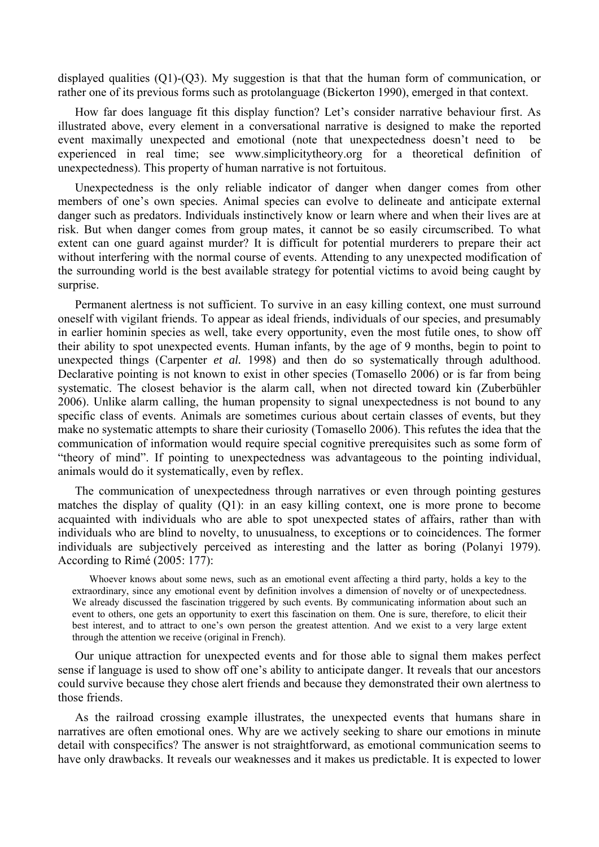displayed qualities (Q1)-(Q3). My suggestion is that that the human form of communication, or rather one of its previous forms such as protolanguage (Bickerton 1990), emerged in that context.

How far does language fit this display function? Let's consider narrative behaviour first. As illustrated above, every element in a conversational narrative is designed to make the reported event maximally unexpected and emotional (note that unexpectedness doesn't need to be experienced in real time; see www.simplicitytheory.org for a theoretical definition of unexpectedness). This property of human narrative is not fortuitous.

Unexpectedness is the only reliable indicator of danger when danger comes from other members of one's own species. Animal species can evolve to delineate and anticipate external danger such as predators. Individuals instinctively know or learn where and when their lives are at risk. But when danger comes from group mates, it cannot be so easily circumscribed. To what extent can one guard against murder? It is difficult for potential murderers to prepare their act without interfering with the normal course of events. Attending to any unexpected modification of the surrounding world is the best available strategy for potential victims to avoid being caught by surprise.

Permanent alertness is not sufficient. To survive in an easy killing context, one must surround oneself with vigilant friends. To appear as ideal friends, individuals of our species, and presumably in earlier hominin species as well, take every opportunity, even the most futile ones, to show off their ability to spot unexpected events. Human infants, by the age of 9 months, begin to point to unexpected things (Carpenter *et al.* 1998) and then do so systematically through adulthood. Declarative pointing is not known to exist in other species (Tomasello 2006) or is far from being systematic. The closest behavior is the alarm call, when not directed toward kin (Zuberbühler 2006). Unlike alarm calling, the human propensity to signal unexpectedness is not bound to any specific class of events. Animals are sometimes curious about certain classes of events, but they make no systematic attempts to share their curiosity (Tomasello 2006). This refutes the idea that the communication of information would require special cognitive prerequisites such as some form of "theory of mind". If pointing to unexpectedness was advantageous to the pointing individual, animals would do it systematically, even by reflex.

The communication of unexpectedness through narratives or even through pointing gestures matches the display of quality (Q1): in an easy killing context, one is more prone to become acquainted with individuals who are able to spot unexpected states of affairs, rather than with individuals who are blind to novelty, to unusualness, to exceptions or to coincidences. The former individuals are subjectively perceived as interesting and the latter as boring (Polanyi 1979). According to Rimé (2005: 177):

Whoever knows about some news, such as an emotional event affecting a third party, holds a key to the extraordinary, since any emotional event by definition involves a dimension of novelty or of unexpectedness. We already discussed the fascination triggered by such events. By communicating information about such an event to others, one gets an opportunity to exert this fascination on them. One is sure, therefore, to elicit their best interest, and to attract to one's own person the greatest attention. And we exist to a very large extent through the attention we receive (original in French).

Our unique attraction for unexpected events and for those able to signal them makes perfect sense if language is used to show off one's ability to anticipate danger. It reveals that our ancestors could survive because they chose alert friends and because they demonstrated their own alertness to those friends.

As the railroad crossing example illustrates, the unexpected events that humans share in narratives are often emotional ones. Why are we actively seeking to share our emotions in minute detail with conspecifics? The answer is not straightforward, as emotional communication seems to have only drawbacks. It reveals our weaknesses and it makes us predictable. It is expected to lower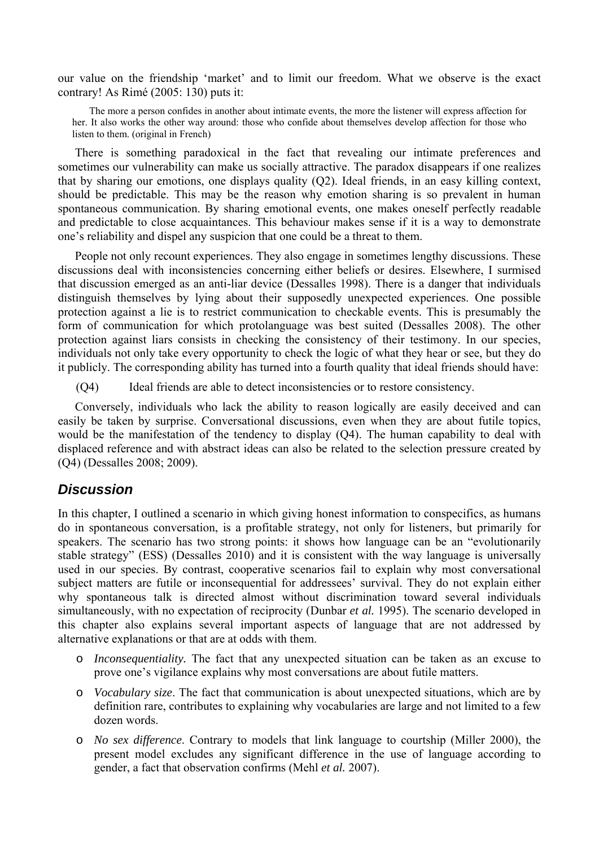our value on the friendship 'market' and to limit our freedom. What we observe is the exact contrary! As Rimé (2005: 130) puts it:

The more a person confides in another about intimate events, the more the listener will express affection for her. It also works the other way around: those who confide about themselves develop affection for those who listen to them. (original in French)

There is something paradoxical in the fact that revealing our intimate preferences and sometimes our vulnerability can make us socially attractive. The paradox disappears if one realizes that by sharing our emotions, one displays quality (Q2). Ideal friends, in an easy killing context, should be predictable. This may be the reason why emotion sharing is so prevalent in human spontaneous communication. By sharing emotional events, one makes oneself perfectly readable and predictable to close acquaintances. This behaviour makes sense if it is a way to demonstrate one's reliability and dispel any suspicion that one could be a threat to them.

People not only recount experiences. They also engage in sometimes lengthy discussions. These discussions deal with inconsistencies concerning either beliefs or desires. Elsewhere, I surmised that discussion emerged as an anti-liar device (Dessalles 1998). There is a danger that individuals distinguish themselves by lying about their supposedly unexpected experiences. One possible protection against a lie is to restrict communication to checkable events. This is presumably the form of communication for which protolanguage was best suited (Dessalles 2008). The other protection against liars consists in checking the consistency of their testimony. In our species, individuals not only take every opportunity to check the logic of what they hear or see, but they do it publicly. The corresponding ability has turned into a fourth quality that ideal friends should have:

(Q4) Ideal friends are able to detect inconsistencies or to restore consistency.

Conversely, individuals who lack the ability to reason logically are easily deceived and can easily be taken by surprise. Conversational discussions, even when they are about futile topics, would be the manifestation of the tendency to display (Q4). The human capability to deal with displaced reference and with abstract ideas can also be related to the selection pressure created by (Q4) (Dessalles 2008; 2009).

# *Discussion*

In this chapter, I outlined a scenario in which giving honest information to conspecifics, as humans do in spontaneous conversation, is a profitable strategy, not only for listeners, but primarily for speakers. The scenario has two strong points: it shows how language can be an "evolutionarily stable strategy" (ESS) (Dessalles 2010) and it is consistent with the way language is universally used in our species. By contrast, cooperative scenarios fail to explain why most conversational subject matters are futile or inconsequential for addressees' survival. They do not explain either why spontaneous talk is directed almost without discrimination toward several individuals simultaneously, with no expectation of reciprocity (Dunbar *et al.* 1995). The scenario developed in this chapter also explains several important aspects of language that are not addressed by alternative explanations or that are at odds with them.

- o *Inconsequentiality.* The fact that any unexpected situation can be taken as an excuse to prove one's vigilance explains why most conversations are about futile matters.
- o *Vocabulary size*. The fact that communication is about unexpected situations, which are by definition rare, contributes to explaining why vocabularies are large and not limited to a few dozen words.
- o *No sex difference*. Contrary to models that link language to courtship (Miller 2000), the present model excludes any significant difference in the use of language according to gender, a fact that observation confirms (Mehl *et al.* 2007).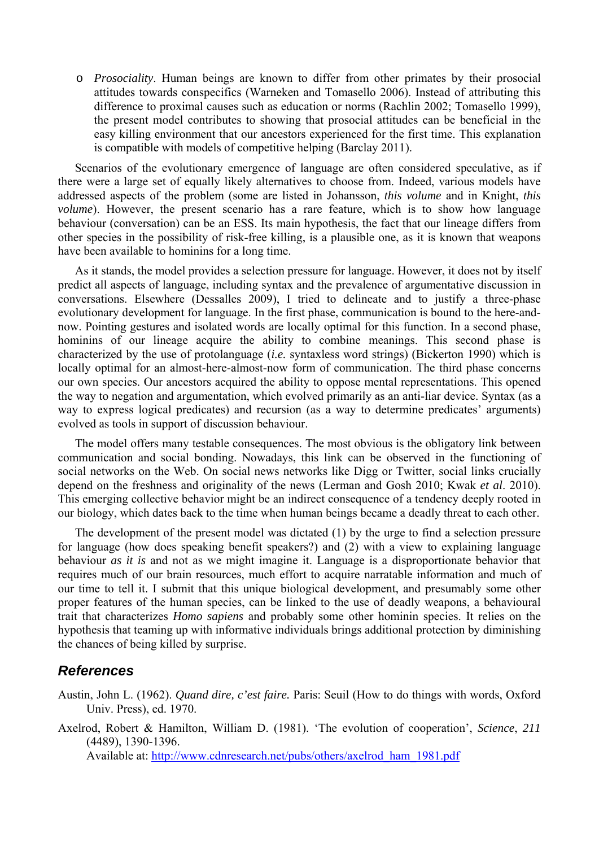o *Prosociality*. Human beings are known to differ from other primates by their prosocial attitudes towards conspecifics (Warneken and Tomasello 2006). Instead of attributing this difference to proximal causes such as education or norms (Rachlin 2002; Tomasello 1999), the present model contributes to showing that prosocial attitudes can be beneficial in the easy killing environment that our ancestors experienced for the first time. This explanation is compatible with models of competitive helping (Barclay 2011).

Scenarios of the evolutionary emergence of language are often considered speculative, as if there were a large set of equally likely alternatives to choose from. Indeed, various models have addressed aspects of the problem (some are listed in Johansson, *this volume* and in Knight, *this volume*). However, the present scenario has a rare feature, which is to show how language behaviour (conversation) can be an ESS. Its main hypothesis, the fact that our lineage differs from other species in the possibility of risk-free killing, is a plausible one, as it is known that weapons have been available to hominins for a long time.

As it stands, the model provides a selection pressure for language. However, it does not by itself predict all aspects of language, including syntax and the prevalence of argumentative discussion in conversations. Elsewhere (Dessalles 2009), I tried to delineate and to justify a three-phase evolutionary development for language. In the first phase, communication is bound to the here-andnow. Pointing gestures and isolated words are locally optimal for this function. In a second phase, hominins of our lineage acquire the ability to combine meanings. This second phase is characterized by the use of protolanguage (*i.e.* syntaxless word strings) (Bickerton 1990) which is locally optimal for an almost-here-almost-now form of communication. The third phase concerns our own species. Our ancestors acquired the ability to oppose mental representations. This opened the way to negation and argumentation, which evolved primarily as an anti-liar device. Syntax (as a way to express logical predicates) and recursion (as a way to determine predicates' arguments) evolved as tools in support of discussion behaviour.

The model offers many testable consequences. The most obvious is the obligatory link between communication and social bonding. Nowadays, this link can be observed in the functioning of social networks on the Web. On social news networks like Digg or Twitter, social links crucially depend on the freshness and originality of the news (Lerman and Gosh 2010; Kwak *et al*. 2010). This emerging collective behavior might be an indirect consequence of a tendency deeply rooted in our biology, which dates back to the time when human beings became a deadly threat to each other.

The development of the present model was dictated (1) by the urge to find a selection pressure for language (how does speaking benefit speakers?) and (2) with a view to explaining language behaviour *as it is* and not as we might imagine it. Language is a disproportionate behavior that requires much of our brain resources, much effort to acquire narratable information and much of our time to tell it. I submit that this unique biological development, and presumably some other proper features of the human species, can be linked to the use of deadly weapons, a behavioural trait that characterizes *Homo sapiens* and probably some other hominin species. It relies on the hypothesis that teaming up with informative individuals brings additional protection by diminishing the chances of being killed by surprise.

## *References*

- Austin, John L. (1962). *Quand dire, c'est faire.* Paris: Seuil (How to do things with words, Oxford Univ. Press), ed. 1970.
- Axelrod, Robert & Hamilton, William D. (1981). 'The evolution of cooperation', *Science*, *211* (4489), 1390-1396. Available at: http://www.cdnresearch.net/pubs/others/axelrod\_ham\_1981.pdf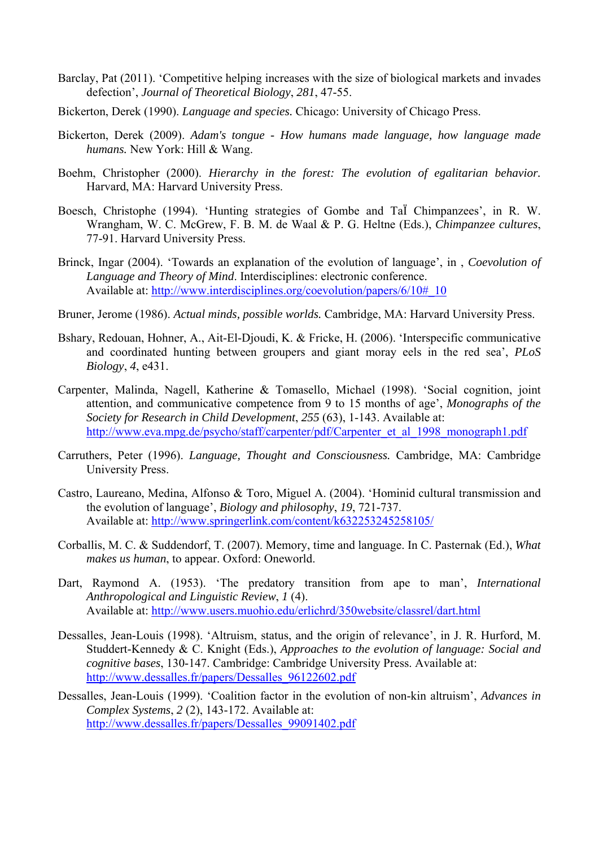- Barclay, Pat (2011). 'Competitive helping increases with the size of biological markets and invades defection', *Journal of Theoretical Biology*, *281*, 47-55.
- Bickerton, Derek (1990). *Language and species.* Chicago: University of Chicago Press.
- Bickerton, Derek (2009). *Adam's tongue How humans made language, how language made humans.* New York: Hill & Wang.
- Boehm, Christopher (2000). *Hierarchy in the forest: The evolution of egalitarian behavior.* Harvard, MA: Harvard University Press.
- Boesch, Christophe (1994). 'Hunting strategies of Gombe and TaÏ Chimpanzees', in R. W. Wrangham, W. C. McGrew, F. B. M. de Waal & P. G. Heltne (Eds.), *Chimpanzee cultures*, 77-91. Harvard University Press.
- Brinck, Ingar (2004). 'Towards an explanation of the evolution of language', in , *Coevolution of Language and Theory of Mind*. Interdisciplines: electronic conference. Available at: http://www.interdisciplines.org/coevolution/papers/6/10# 10
- Bruner, Jerome (1986). *Actual minds, possible worlds.* Cambridge, MA: Harvard University Press.
- Bshary, Redouan, Hohner, A., Ait-El-Djoudi, K. & Fricke, H. (2006). 'Interspecific communicative and coordinated hunting between groupers and giant moray eels in the red sea', *PLoS Biology*, *4*, e431.
- Carpenter, Malinda, Nagell, Katherine & Tomasello, Michael (1998). 'Social cognition, joint attention, and communicative competence from 9 to 15 months of age', *Monographs of the Society for Research in Child Development*, *255* (63), 1-143. Available at: http://www.eva.mpg.de/psycho/staff/carpenter/pdf/Carpenter\_et\_al\_1998\_monograph1.pdf
- Carruthers, Peter (1996). *Language, Thought and Consciousness.* Cambridge, MA: Cambridge University Press.
- Castro, Laureano, Medina, Alfonso & Toro, Miguel A. (2004). 'Hominid cultural transmission and the evolution of language', *Biology and philosophy*, *19*, 721-737. Available at: http://www.springerlink.com/content/k632253245258105/
- Corballis, M. C. & Suddendorf, T. (2007). Memory, time and language. In C. Pasternak (Ed.), *What makes us human*, to appear. Oxford: Oneworld.
- Dart, Raymond A. (1953). 'The predatory transition from ape to man', *International Anthropological and Linguistic Review*, *1* (4). Available at: http://www.users.muohio.edu/erlichrd/350website/classrel/dart.html
- Dessalles, Jean-Louis (1998). 'Altruism, status, and the origin of relevance', in J. R. Hurford, M. Studdert-Kennedy & C. Knight (Eds.), *Approaches to the evolution of language: Social and cognitive bases*, 130-147. Cambridge: Cambridge University Press. Available at: http://www.dessalles.fr/papers/Dessalles\_96122602.pdf
- Dessalles, Jean-Louis (1999). 'Coalition factor in the evolution of non-kin altruism', *Advances in Complex Systems*, *2* (2), 143-172. Available at: http://www.dessalles.fr/papers/Dessalles\_99091402.pdf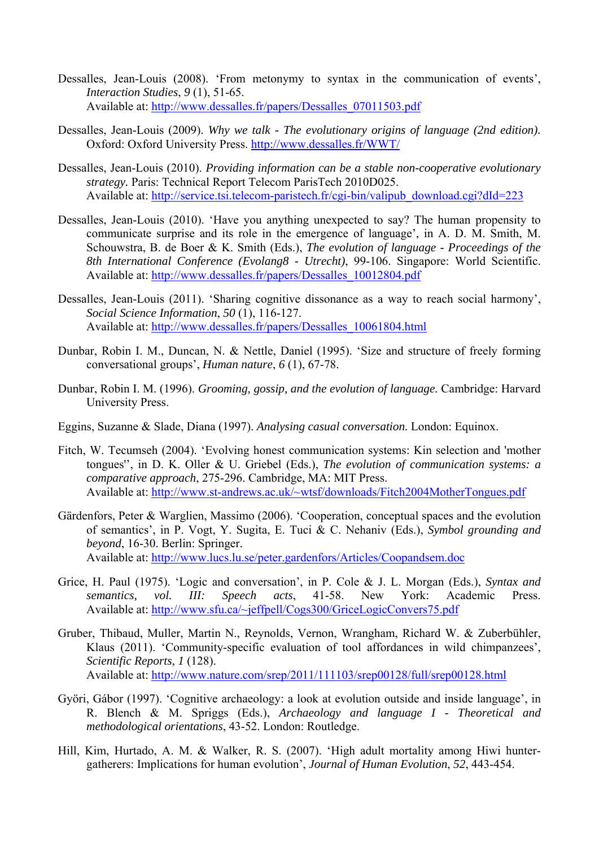- Dessalles, Jean-Louis (2008). 'From metonymy to syntax in the communication of events', *Interaction Studies*, *9* (1), 51-65. Available at: http://www.dessalles.fr/papers/Dessalles\_07011503.pdf
- Dessalles, Jean-Louis (2009). *Why we talk The evolutionary origins of language (2nd edition).* Oxford: Oxford University Press. http://www.dessalles.fr/WWT/
- Dessalles, Jean-Louis (2010). *Providing information can be a stable non-cooperative evolutionary strategy.* Paris: Technical Report Telecom ParisTech 2010D025. Available at: http://service.tsi.telecom-paristech.fr/cgi-bin/valipub\_download.cgi?dId=223
- Dessalles, Jean-Louis (2010). 'Have you anything unexpected to say? The human propensity to communicate surprise and its role in the emergence of language', in A. D. M. Smith, M. Schouwstra, B. de Boer & K. Smith (Eds.), *The evolution of language - Proceedings of the 8th International Conference (Evolang8 - Utrecht)*, 99-106. Singapore: World Scientific. Available at: http://www.dessalles.fr/papers/Dessalles\_10012804.pdf
- Dessalles, Jean-Louis (2011). 'Sharing cognitive dissonance as a way to reach social harmony', *Social Science Information*, *50* (1), 116-127. Available at: http://www.dessalles.fr/papers/Dessalles\_10061804.html
- Dunbar, Robin I. M., Duncan, N. & Nettle, Daniel (1995). 'Size and structure of freely forming conversational groups', *Human nature*, *6* (1), 67-78.
- Dunbar, Robin I. M. (1996). *Grooming, gossip, and the evolution of language.* Cambridge: Harvard University Press.
- Eggins, Suzanne & Slade, Diana (1997). *Analysing casual conversation.* London: Equinox.
- Fitch, W. Tecumseh (2004). 'Evolving honest communication systems: Kin selection and 'mother tongues'', in D. K. Oller & U. Griebel (Eds.), *The evolution of communication systems: a comparative approach*, 275-296. Cambridge, MA: MIT Press. Available at: http://www.st-andrews.ac.uk/~wtsf/downloads/Fitch2004MotherTongues.pdf
- Gärdenfors, Peter & Warglien, Massimo (2006). 'Cooperation, conceptual spaces and the evolution of semantics', in P. Vogt, Y. Sugita, E. Tuci & C. Nehaniv (Eds.), *Symbol grounding and beyond*, 16-30. Berlin: Springer. Available at: http://www.lucs.lu.se/peter.gardenfors/Articles/Coopandsem.doc
- Grice, H. Paul (1975). 'Logic and conversation', in P. Cole & J. L. Morgan (Eds.), *Syntax and semantics, vol. III: Speech acts*, 41-58. New York: Academic Press. Available at: http://www.sfu.ca/~jeffpell/Cogs300/GriceLogicConvers75.pdf
- Gruber, Thibaud, Muller, Martin N., Reynolds, Vernon, Wrangham, Richard W. & Zuberbühler, Klaus (2011). 'Community-specific evaluation of tool affordances in wild chimpanzees', *Scientific Reports*, *1* (128). Available at: http://www.nature.com/srep/2011/111103/srep00128/full/srep00128.html
- Györi, Gábor (1997). 'Cognitive archaeology: a look at evolution outside and inside language', in R. Blench & M. Spriggs (Eds.), *Archaeology and language I - Theoretical and methodological orientations*, 43-52. London: Routledge.
- Hill, Kim, Hurtado, A. M. & Walker, R. S. (2007). 'High adult mortality among Hiwi huntergatherers: Implications for human evolution', *Journal of Human Evolution*, *52*, 443-454.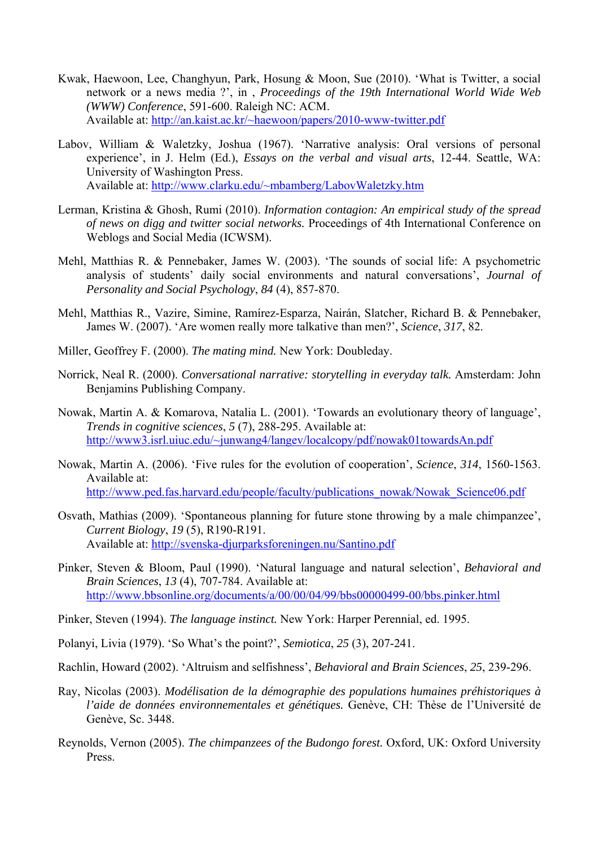- Kwak, Haewoon, Lee, Changhyun, Park, Hosung & Moon, Sue (2010). 'What is Twitter, a social network or a news media ?', in , *Proceedings of the 19th International World Wide Web (WWW) Conference*, 591-600. Raleigh NC: ACM. Available at: http://an.kaist.ac.kr/~haewoon/papers/2010-www-twitter.pdf
- Labov, William & Waletzky, Joshua (1967). 'Narrative analysis: Oral versions of personal experience', in J. Helm (Ed.), *Essays on the verbal and visual arts*, 12-44. Seattle, WA: University of Washington Press. Available at: http://www.clarku.edu/~mbamberg/LabovWaletzky.htm
- Lerman, Kristina & Ghosh, Rumi (2010). *Information contagion: An empirical study of the spread of news on digg and twitter social networks.* Proceedings of 4th International Conference on Weblogs and Social Media (ICWSM).
- Mehl, Matthias R. & Pennebaker, James W. (2003). 'The sounds of social life: A psychometric analysis of students' daily social environments and natural conversations', *Journal of Personality and Social Psychology*, *84* (4), 857-870.
- Mehl, Matthias R., Vazire, Simine, Ramírez-Esparza, Nairán, Slatcher, Richard B. & Pennebaker, James W. (2007). 'Are women really more talkative than men?', *Science*, *317*, 82.
- Miller, Geoffrey F. (2000). *The mating mind.* New York: Doubleday.
- Norrick, Neal R. (2000). *Conversational narrative: storytelling in everyday talk.* Amsterdam: John Benjamins Publishing Company.
- Nowak, Martin A. & Komarova, Natalia L. (2001). 'Towards an evolutionary theory of language', *Trends in cognitive sciences*, *5* (7), 288-295. Available at: http://www3.isrl.uiuc.edu/~junwang4/langev/localcopy/pdf/nowak01towardsAn.pdf
- Nowak, Martin A. (2006). 'Five rules for the evolution of cooperation', *Science*, *314*, 1560-1563. Available at: http://www.ped.fas.harvard.edu/people/faculty/publications\_nowak/Nowak\_Science06.pdf
- Osvath, Mathias (2009). 'Spontaneous planning for future stone throwing by a male chimpanzee', *Current Biology*, *19* (5), R190-R191. Available at: http://svenska-djurparksforeningen.nu/Santino.pdf
- Pinker, Steven & Bloom, Paul (1990). 'Natural language and natural selection', *Behavioral and Brain Sciences*, *13* (4), 707-784. Available at: http://www.bbsonline.org/documents/a/00/00/04/99/bbs00000499-00/bbs.pinker.html
- Pinker, Steven (1994). *The language instinct.* New York: Harper Perennial, ed. 1995.
- Polanyi, Livia (1979). 'So What's the point?', *Semiotica*, *25* (3), 207-241.
- Rachlin, Howard (2002). 'Altruism and selfishness', *Behavioral and Brain Sciences*, *25*, 239-296.
- Ray, Nicolas (2003). *Modélisation de la démographie des populations humaines préhistoriques à l'aide de données environnementales et génétiques.* Genève, CH: Thèse de l'Université de Genève, Sc. 3448.
- Reynolds, Vernon (2005). *The chimpanzees of the Budongo forest.* Oxford, UK: Oxford University Press.